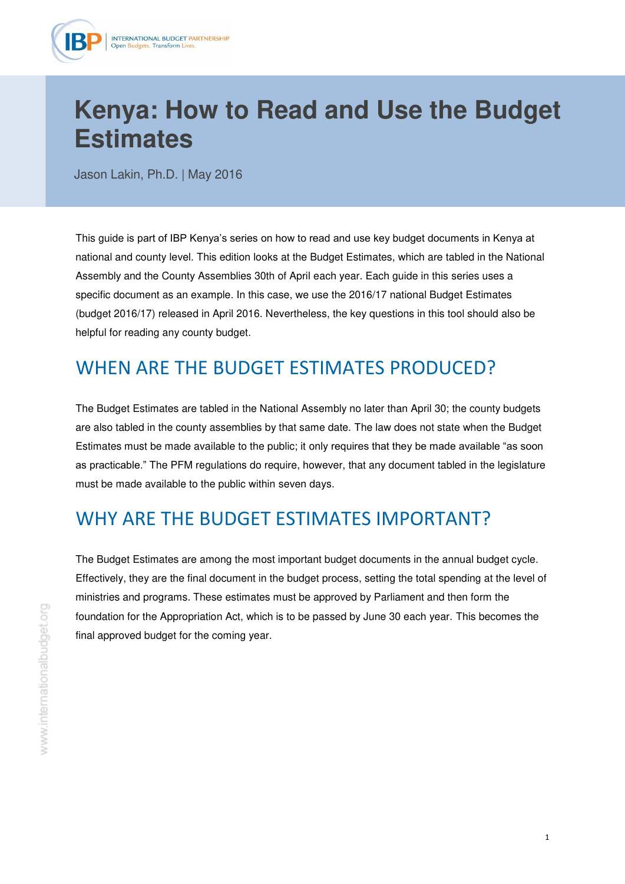

# **Kenya: How to Read and Use the Budget Estimates**

Jason Lakin, Ph.D. | May 2016

This guide is part of IBP Kenya's series on how to read and use key budget documents in Kenya at national and county level. This edition looks at the Budget Estimates, which are tabled in the National Assembly and the County Assemblies 30th of April each year. Each guide in this series uses a specific document as an example. In this case, we use the 2016/17 national Budget Estimates (budget 2016/17) released in April 2016. Nevertheless, the key questions in this tool should also be helpful for reading any county budget.

# WHEN ARE THE BUDGET ESTIMATES PRODUCED?

The Budget Estimates are tabled in the National Assembly no later than April 30; the county budgets are also tabled in the county assemblies by that same date. The law does not state when the Budget Estimates must be made available to the public; it only requires that they be made available "as soon as practicable." The PFM regulations do require, however, that any document tabled in the legislature must be made available to the public within seven days.

# WHY ARE THE BUDGET ESTIMATES IMPORTANT?

The Budget Estimates are among the most important budget documents in the annual budget cycle. Effectively, they are the final document in the budget process, setting the total spending at the level of ministries and programs. These estimates must be approved by Parliament and then form the foundation for the Appropriation Act, which is to be passed by June 30 each year. This becomes the final approved budget for the coming year.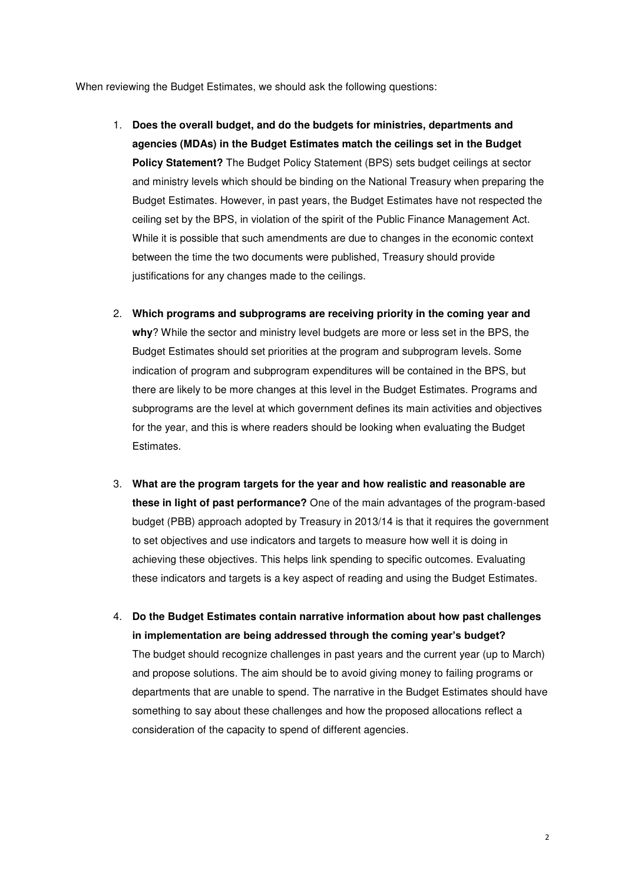When reviewing the Budget Estimates, we should ask the following questions:

- 1. **Does the overall budget, and do the budgets for ministries, departments and agencies (MDAs) in the Budget Estimates match the ceilings set in the Budget Policy Statement?** The Budget Policy Statement (BPS) sets budget ceilings at sector and ministry levels which should be binding on the National Treasury when preparing the Budget Estimates. However, in past years, the Budget Estimates have not respected the ceiling set by the BPS, in violation of the spirit of the Public Finance Management Act. While it is possible that such amendments are due to changes in the economic context between the time the two documents were published, Treasury should provide justifications for any changes made to the ceilings.
- 2. **Which programs and subprograms are receiving priority in the coming year and why**? While the sector and ministry level budgets are more or less set in the BPS, the Budget Estimates should set priorities at the program and subprogram levels. Some indication of program and subprogram expenditures will be contained in the BPS, but there are likely to be more changes at this level in the Budget Estimates. Programs and subprograms are the level at which government defines its main activities and objectives for the year, and this is where readers should be looking when evaluating the Budget **Estimates**
- 3. **What are the program targets for the year and how realistic and reasonable are these in light of past performance?** One of the main advantages of the program-based budget (PBB) approach adopted by Treasury in 2013/14 is that it requires the government to set objectives and use indicators and targets to measure how well it is doing in achieving these objectives. This helps link spending to specific outcomes. Evaluating these indicators and targets is a key aspect of reading and using the Budget Estimates.
- 4. **Do the Budget Estimates contain narrative information about how past challenges in implementation are being addressed through the coming year's budget?** The budget should recognize challenges in past years and the current year (up to March) and propose solutions. The aim should be to avoid giving money to failing programs or departments that are unable to spend. The narrative in the Budget Estimates should have something to say about these challenges and how the proposed allocations reflect a consideration of the capacity to spend of different agencies.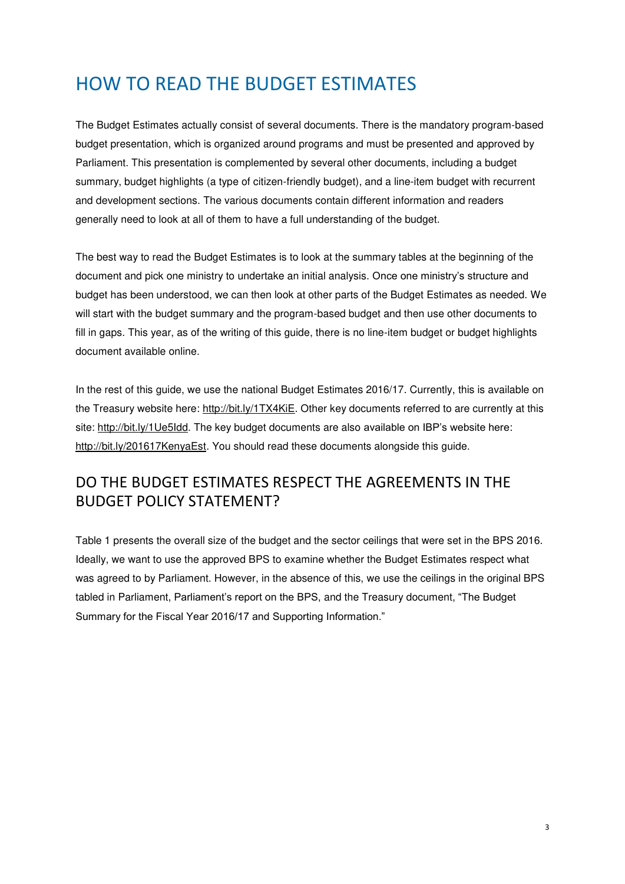# HOW TO READ THE BUDGET ESTIMATES

The Budget Estimates actually consist of several documents. There is the mandatory program-based budget presentation, which is organized around programs and must be presented and approved by Parliament. This presentation is complemented by several other documents, including a budget summary, budget highlights (a type of citizen-friendly budget), and a line-item budget with recurrent and development sections. The various documents contain different information and readers generally need to look at all of them to have a full understanding of the budget.

The best way to read the Budget Estimates is to look at the summary tables at the beginning of the document and pick one ministry to undertake an initial analysis. Once one ministry's structure and budget has been understood, we can then look at other parts of the Budget Estimates as needed. We will start with the budget summary and the program-based budget and then use other documents to fill in gaps. This year, as of the writing of this guide, there is no line-item budget or budget highlights document available online.

In the rest of this guide, we use the national Budget Estimates 2016/17. Currently, this is available on the Treasury website here: [http://bit.ly/1TX4KiE.](http://bit.ly/1TX4KiE) Other key documents referred to are currently at this site: [http://bit.ly/1Ue5Idd.](http://bit.ly/1Ue5Idd) The key budget documents are also available on IBP's website here: [http://bit.ly/201617KenyaEst.](http://bit.ly/201617KenyaEst) You should read these documents alongside this guide.

# DO THE BUDGET ESTIMATES RESPECT THE AGREEMENTS IN THE BUDGET POLICY STATEMENT?

Table 1 presents the overall size of the budget and the sector ceilings that were set in the BPS 2016. Ideally, we want to use the approved BPS to examine whether the Budget Estimates respect what was agreed to by Parliament. However, in the absence of this, we use the ceilings in the original BPS tabled in Parliament, Parliament's report on the BPS, and the Treasury document, "The Budget Summary for the Fiscal Year 2016/17 and Supporting Information."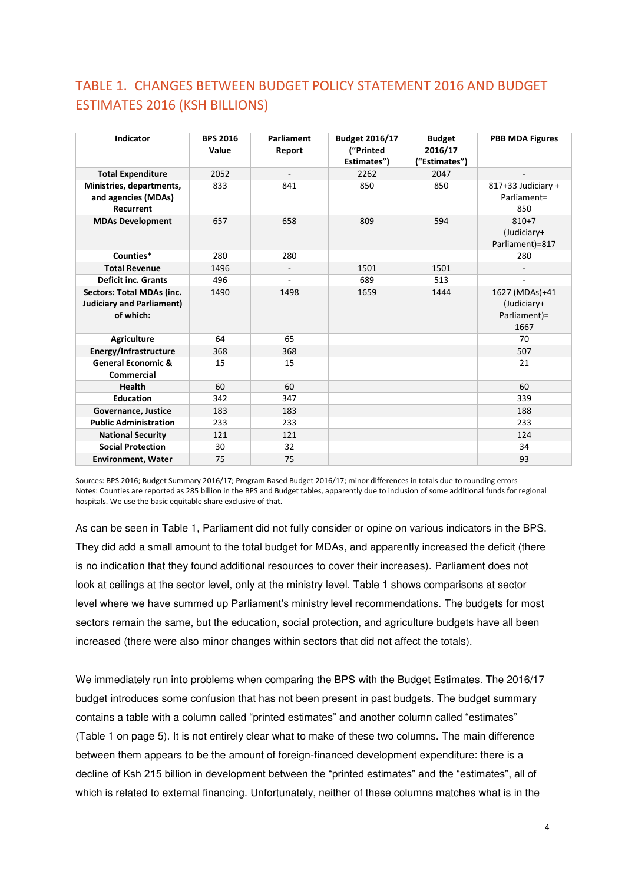# TABLE 1. CHANGES BETWEEN BUDGET POLICY STATEMENT 2016 AND BUDGET ESTIMATES 2016 (KSH BILLIONS)

| Indicator                                                                         | <b>BPS 2016</b><br>Value | Parliament<br>Report     | <b>Budget 2016/17</b><br>l"Printed<br>Estimates") | <b>Budget</b><br>2016/17<br>("Estimates") | <b>PBB MDA Figures</b>                                |
|-----------------------------------------------------------------------------------|--------------------------|--------------------------|---------------------------------------------------|-------------------------------------------|-------------------------------------------------------|
| <b>Total Expenditure</b>                                                          | 2052                     | $\overline{\phantom{a}}$ | 2262                                              | 2047                                      |                                                       |
| Ministries, departments,<br>and agencies (MDAs)<br>Recurrent                      | 833                      | 841                      | 850                                               | 850                                       | 817+33 Judiciary +<br>Parliament=<br>850              |
| <b>MDAs Development</b>                                                           | 657                      | 658                      | 809                                               | 594                                       | $810+7$<br>(Judiciary+<br>Parliament)=817             |
| Counties*                                                                         | 280                      | 280                      |                                                   |                                           | 280                                                   |
| <b>Total Revenue</b>                                                              | 1496                     | $\overline{\phantom{a}}$ | 1501                                              | 1501                                      |                                                       |
| <b>Deficit inc. Grants</b>                                                        | 496                      | $\overline{a}$           | 689                                               | 513                                       |                                                       |
| <b>Sectors: Total MDAs (inc.</b><br><b>Judiciary and Parliament)</b><br>of which: | 1490                     | 1498                     | 1659                                              | 1444                                      | 1627 (MDAs)+41<br>(Judiciary+<br>Parliament)=<br>1667 |
| <b>Agriculture</b>                                                                | 64                       | 65                       |                                                   |                                           | 70                                                    |
| Energy/Infrastructure                                                             | 368                      | 368                      |                                                   |                                           | 507                                                   |
| <b>General Economic &amp;</b><br><b>Commercial</b>                                | 15                       | 15                       |                                                   |                                           | 21                                                    |
| <b>Health</b>                                                                     | 60                       | 60                       |                                                   |                                           | 60                                                    |
| <b>Education</b>                                                                  | 342                      | 347                      |                                                   |                                           | 339                                                   |
| Governance, Justice                                                               | 183                      | 183                      |                                                   |                                           | 188                                                   |
| <b>Public Administration</b>                                                      | 233                      | 233                      |                                                   |                                           | 233                                                   |
| <b>National Security</b>                                                          | 121                      | 121                      |                                                   |                                           | 124                                                   |
| <b>Social Protection</b>                                                          | 30                       | 32                       |                                                   |                                           | 34                                                    |
| <b>Environment, Water</b>                                                         | 75                       | 75                       |                                                   |                                           | 93                                                    |

Sources: BPS 2016; Budget Summary 2016/17; Program Based Budget 2016/17; minor differences in totals due to rounding errors Notes: Counties are reported as 285 billion in the BPS and Budget tables, apparently due to inclusion of some additional funds for regional hospitals. We use the basic equitable share exclusive of that.

As can be seen in Table 1, Parliament did not fully consider or opine on various indicators in the BPS. They did add a small amount to the total budget for MDAs, and apparently increased the deficit (there is no indication that they found additional resources to cover their increases). Parliament does not look at ceilings at the sector level, only at the ministry level. Table 1 shows comparisons at sector level where we have summed up Parliament's ministry level recommendations. The budgets for most sectors remain the same, but the education, social protection, and agriculture budgets have all been increased (there were also minor changes within sectors that did not affect the totals).

We immediately run into problems when comparing the BPS with the Budget Estimates. The 2016/17 budget introduces some confusion that has not been present in past budgets. The budget summary contains a table with a column called "printed estimates" and another column called "estimates" (Table 1 on page 5). It is not entirely clear what to make of these two columns. The main difference between them appears to be the amount of foreign-financed development expenditure: there is a decline of Ksh 215 billion in development between the "printed estimates" and the "estimates", all of which is related to external financing. Unfortunately, neither of these columns matches what is in the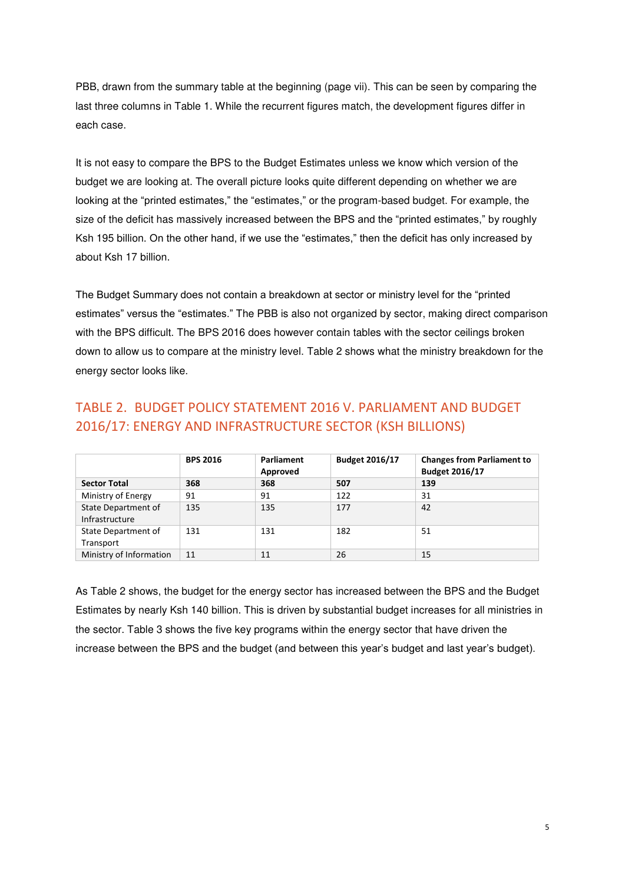PBB, drawn from the summary table at the beginning (page vii). This can be seen by comparing the last three columns in Table 1. While the recurrent figures match, the development figures differ in each case.

It is not easy to compare the BPS to the Budget Estimates unless we know which version of the budget we are looking at. The overall picture looks quite different depending on whether we are looking at the "printed estimates," the "estimates," or the program-based budget. For example, the size of the deficit has massively increased between the BPS and the "printed estimates," by roughly Ksh 195 billion. On the other hand, if we use the "estimates," then the deficit has only increased by about Ksh 17 billion.

The Budget Summary does not contain a breakdown at sector or ministry level for the "printed estimates" versus the "estimates." The PBB is also not organized by sector, making direct comparison with the BPS difficult. The BPS 2016 does however contain tables with the sector ceilings broken down to allow us to compare at the ministry level. Table 2 shows what the ministry breakdown for the energy sector looks like.

#### TABLE 2. BUDGET POLICY STATEMENT 2016 V. PARLIAMENT AND BUDGET 2016/17: ENERGY AND INFRASTRUCTURE SECTOR (KSH BILLIONS)

|                                       | <b>BPS 2016</b> | Parliament<br>Approved | <b>Budget 2016/17</b> | <b>Changes from Parliament to</b><br><b>Budget 2016/17</b> |
|---------------------------------------|-----------------|------------------------|-----------------------|------------------------------------------------------------|
| <b>Sector Total</b>                   | 368             | 368                    | 507                   | 139                                                        |
| Ministry of Energy                    | 91              | 91                     | 122                   | 31                                                         |
| State Department of<br>Infrastructure | 135             | 135                    | 177                   | 42                                                         |
| State Department of<br>Transport      | 131             | 131                    | 182                   | 51                                                         |
| Ministry of Information               | 11              | 11                     | 26                    | 15                                                         |

As Table 2 shows, the budget for the energy sector has increased between the BPS and the Budget Estimates by nearly Ksh 140 billion. This is driven by substantial budget increases for all ministries in the sector. Table 3 shows the five key programs within the energy sector that have driven the increase between the BPS and the budget (and between this year's budget and last year's budget).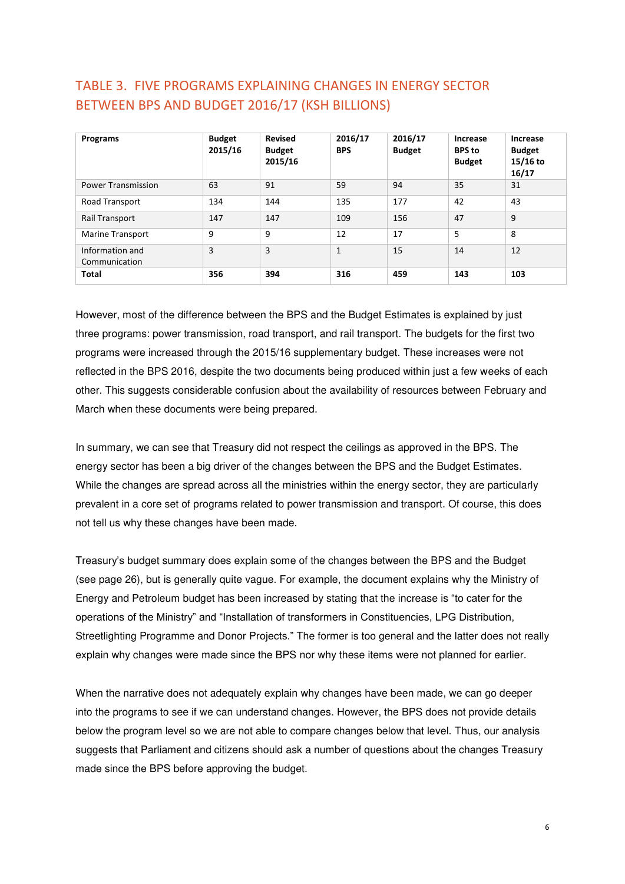### TABLE 3. FIVE PROGRAMS EXPLAINING CHANGES IN ENERGY SECTOR BETWEEN BPS AND BUDGET 2016/17 (KSH BILLIONS)

| Programs                         | <b>Budget</b><br>2015/16 | <b>Revised</b><br><b>Budget</b><br>2015/16 | 2016/17<br><b>BPS</b> | 2016/17<br><b>Budget</b> | <b>Increase</b><br><b>BPS</b> to<br><b>Budget</b> | <b>Increase</b><br><b>Budget</b><br>15/16 to<br>16/17 |
|----------------------------------|--------------------------|--------------------------------------------|-----------------------|--------------------------|---------------------------------------------------|-------------------------------------------------------|
| <b>Power Transmission</b>        | 63                       | 91                                         | 59                    | 94                       | 35                                                | 31                                                    |
| Road Transport                   | 134                      | 144                                        | 135                   | 177                      | 42                                                | 43                                                    |
| Rail Transport                   | 147                      | 147                                        | 109                   | 156                      | 47                                                | 9                                                     |
| <b>Marine Transport</b>          | 9                        | 9                                          | 12                    | 17                       | 5                                                 | 8                                                     |
| Information and<br>Communication | 3                        | 3                                          | $\mathbf{1}$          | 15                       | 14                                                | 12                                                    |
| <b>Total</b>                     | 356                      | 394                                        | 316                   | 459                      | 143                                               | 103                                                   |

However, most of the difference between the BPS and the Budget Estimates is explained by just three programs: power transmission, road transport, and rail transport. The budgets for the first two programs were increased through the 2015/16 supplementary budget. These increases were not reflected in the BPS 2016, despite the two documents being produced within just a few weeks of each other. This suggests considerable confusion about the availability of resources between February and March when these documents were being prepared.

In summary, we can see that Treasury did not respect the ceilings as approved in the BPS. The energy sector has been a big driver of the changes between the BPS and the Budget Estimates. While the changes are spread across all the ministries within the energy sector, they are particularly prevalent in a core set of programs related to power transmission and transport. Of course, this does not tell us why these changes have been made.

Treasury's budget summary does explain some of the changes between the BPS and the Budget (see page 26), but is generally quite vague. For example, the document explains why the Ministry of Energy and Petroleum budget has been increased by stating that the increase is "to cater for the operations of the Ministry" and "Installation of transformers in Constituencies, LPG Distribution, Streetlighting Programme and Donor Projects." The former is too general and the latter does not really explain why changes were made since the BPS nor why these items were not planned for earlier.

When the narrative does not adequately explain why changes have been made, we can go deeper into the programs to see if we can understand changes. However, the BPS does not provide details below the program level so we are not able to compare changes below that level. Thus, our analysis suggests that Parliament and citizens should ask a number of questions about the changes Treasury made since the BPS before approving the budget.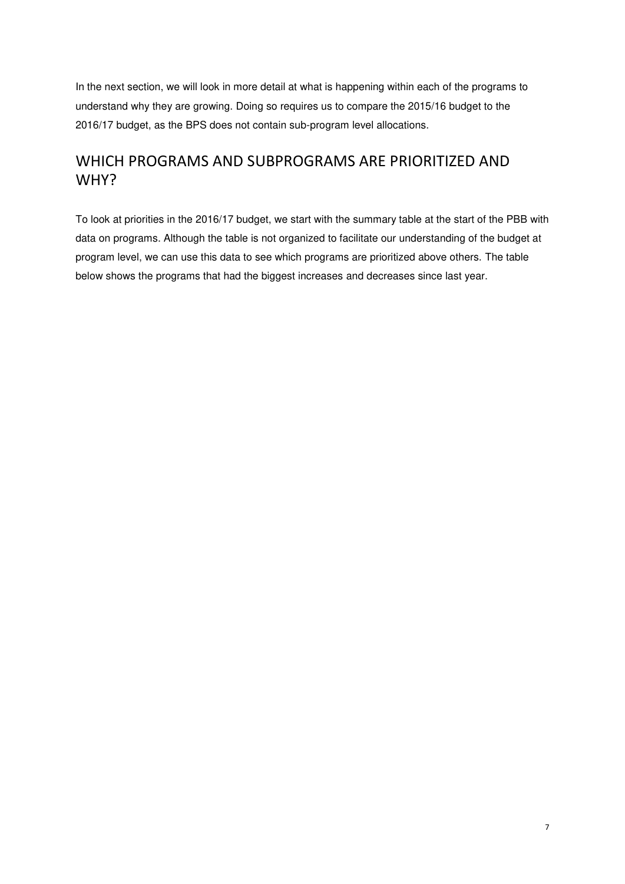In the next section, we will look in more detail at what is happening within each of the programs to understand why they are growing. Doing so requires us to compare the 2015/16 budget to the 2016/17 budget, as the BPS does not contain sub-program level allocations.

# WHICH PROGRAMS AND SUBPROGRAMS ARE PRIORITIZED AND WHY?

To look at priorities in the 2016/17 budget, we start with the summary table at the start of the PBB with data on programs. Although the table is not organized to facilitate our understanding of the budget at program level, we can use this data to see which programs are prioritized above others. The table below shows the programs that had the biggest increases and decreases since last year.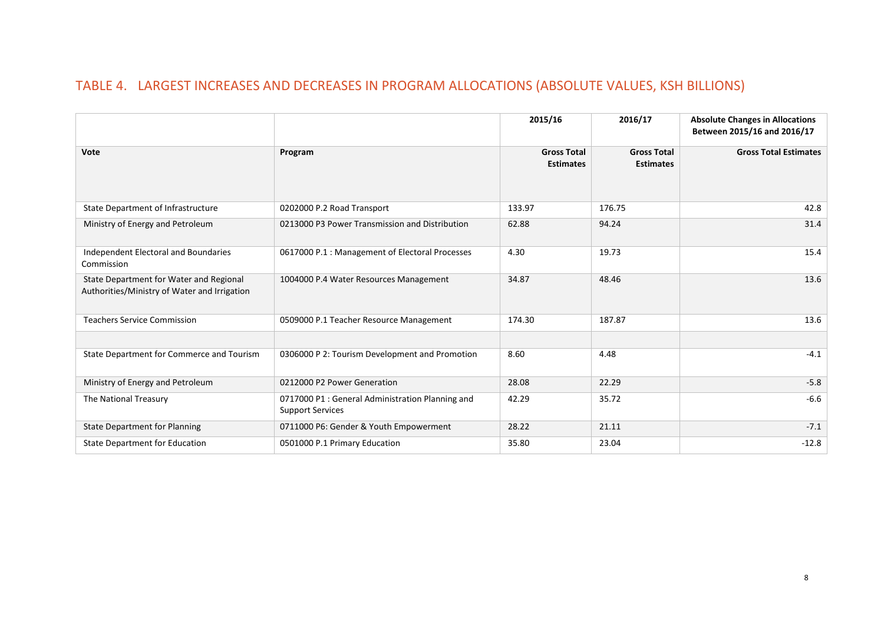# TABLE 4. LARGEST INCREASES AND DECREASES IN PROGRAM ALLOCATIONS (ABSOLUTE VALUES, KSH BILLIONS)

|                                                                                         |                                                                             | 2015/16                                | 2016/17                                | <b>Absolute Changes in Allocations</b><br>Between 2015/16 and 2016/17 |  |
|-----------------------------------------------------------------------------------------|-----------------------------------------------------------------------------|----------------------------------------|----------------------------------------|-----------------------------------------------------------------------|--|
| Vote                                                                                    | Program                                                                     | <b>Gross Total</b><br><b>Estimates</b> | <b>Gross Total</b><br><b>Estimates</b> | <b>Gross Total Estimates</b>                                          |  |
| State Department of Infrastructure                                                      | 0202000 P.2 Road Transport                                                  | 133.97                                 | 176.75                                 | 42.8                                                                  |  |
| Ministry of Energy and Petroleum                                                        | 0213000 P3 Power Transmission and Distribution                              | 62.88                                  | 94.24                                  | 31.4                                                                  |  |
| <b>Independent Electoral and Boundaries</b><br>Commission                               | 0617000 P.1 : Management of Electoral Processes                             | 4.30                                   | 19.73                                  | 15.4                                                                  |  |
| State Department for Water and Regional<br>Authorities/Ministry of Water and Irrigation | 1004000 P.4 Water Resources Management                                      | 34.87                                  | 48.46                                  | 13.6                                                                  |  |
| <b>Teachers Service Commission</b>                                                      | 0509000 P.1 Teacher Resource Management                                     | 174.30                                 | 187.87                                 | 13.6                                                                  |  |
| State Department for Commerce and Tourism                                               | 0306000 P 2: Tourism Development and Promotion                              | 8.60                                   | 4.48                                   | $-4.1$                                                                |  |
| Ministry of Energy and Petroleum                                                        | 0212000 P2 Power Generation                                                 | 28.08                                  | 22.29                                  | $-5.8$                                                                |  |
| The National Treasury                                                                   | 0717000 P1 : General Administration Planning and<br><b>Support Services</b> | 42.29                                  | 35.72                                  | $-6.6$                                                                |  |
| <b>State Department for Planning</b>                                                    | 0711000 P6: Gender & Youth Empowerment                                      | 28.22                                  | 21.11                                  | $-7.1$                                                                |  |
| <b>State Department for Education</b>                                                   | 0501000 P.1 Primary Education                                               | 35.80                                  | 23.04                                  | $-12.8$                                                               |  |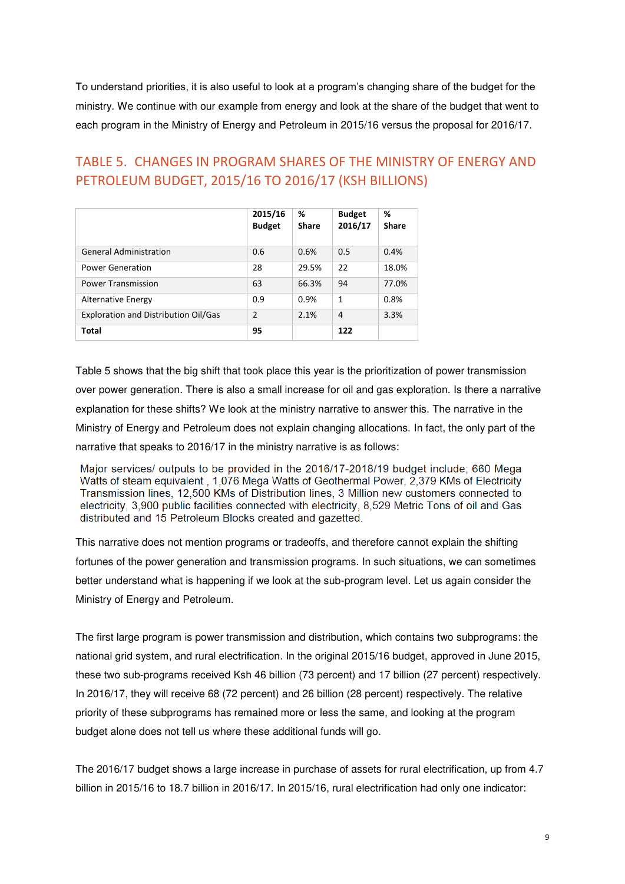To understand priorities, it is also useful to look at a program's changing share of the budget for the ministry. We continue with our example from energy and look at the share of the budget that went to each program in the Ministry of Energy and Petroleum in 2015/16 versus the proposal for 2016/17.

|                                      | 2015/16<br><b>Budget</b> | %<br><b>Share</b> | <b>Budget</b><br>2016/17 | ℅<br><b>Share</b> |
|--------------------------------------|--------------------------|-------------------|--------------------------|-------------------|
| <b>General Administration</b>        | 0.6                      | 0.6%              | 0.5                      | 0.4%              |
| <b>Power Generation</b>              | 28                       | 29.5%             | 22                       | 18.0%             |
| <b>Power Transmission</b>            | 63                       | 66.3%             | 94                       | 77.0%             |
| <b>Alternative Energy</b>            | 0.9                      | 0.9%              | 1                        | 0.8%              |
| Exploration and Distribution Oil/Gas | $\mathfrak{p}$           | 2.1%              | 4                        | 3.3%              |
| Total                                | 95                       |                   | 122                      |                   |

### TABLE 5. CHANGES IN PROGRAM SHARES OF THE MINISTRY OF ENERGY AND PETROLEUM BUDGET, 2015/16 TO 2016/17 (KSH BILLIONS)

Table 5 shows that the big shift that took place this year is the prioritization of power transmission over power generation. There is also a small increase for oil and gas exploration. Is there a narrative explanation for these shifts? We look at the ministry narrative to answer this. The narrative in the Ministry of Energy and Petroleum does not explain changing allocations. In fact, the only part of the narrative that speaks to 2016/17 in the ministry narrative is as follows:

Maior services/ outputs to be provided in the 2016/17-2018/19 budget include: 660 Mega Watts of steam equivalent . 1.076 Mega Watts of Geothermal Power, 2.379 KMs of Electricity Transmission lines, 12,500 KMs of Distribution lines, 3 Million new customers connected to electricity, 3,900 public facilities connected with electricity, 8,529 Metric Tons of oil and Gas distributed and 15 Petroleum Blocks created and gazetted.

This narrative does not mention programs or tradeoffs, and therefore cannot explain the shifting fortunes of the power generation and transmission programs. In such situations, we can sometimes better understand what is happening if we look at the sub-program level. Let us again consider the Ministry of Energy and Petroleum.

The first large program is power transmission and distribution, which contains two subprograms: the national grid system, and rural electrification. In the original 2015/16 budget, approved in June 2015, these two sub-programs received Ksh 46 billion (73 percent) and 17 billion (27 percent) respectively. In 2016/17, they will receive 68 (72 percent) and 26 billion (28 percent) respectively. The relative priority of these subprograms has remained more or less the same, and looking at the program budget alone does not tell us where these additional funds will go.

The 2016/17 budget shows a large increase in purchase of assets for rural electrification, up from 4.7 billion in 2015/16 to 18.7 billion in 2016/17. In 2015/16, rural electrification had only one indicator: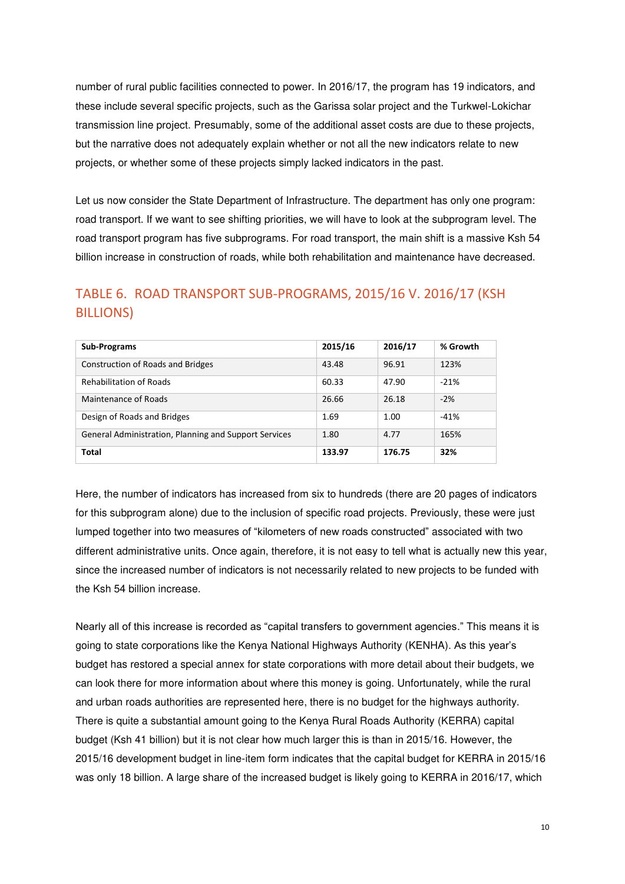number of rural public facilities connected to power. In 2016/17, the program has 19 indicators, and these include several specific projects, such as the Garissa solar project and the Turkwel-Lokichar transmission line project. Presumably, some of the additional asset costs are due to these projects, but the narrative does not adequately explain whether or not all the new indicators relate to new projects, or whether some of these projects simply lacked indicators in the past.

Let us now consider the State Department of Infrastructure. The department has only one program: road transport. If we want to see shifting priorities, we will have to look at the subprogram level. The road transport program has five subprograms. For road transport, the main shift is a massive Ksh 54 billion increase in construction of roads, while both rehabilitation and maintenance have decreased.

### TABLE 6. ROAD TRANSPORT SUB-PROGRAMS, 2015/16 V. 2016/17 (KSH BILLIONS)

| Sub-Programs                                          | 2015/16 | 2016/17 | % Growth |
|-------------------------------------------------------|---------|---------|----------|
| Construction of Roads and Bridges                     | 43.48   | 96.91   | 123%     |
| <b>Rehabilitation of Roads</b>                        | 60.33   | 47.90   | $-21%$   |
| Maintenance of Roads                                  | 26.66   | 26.18   | $-2%$    |
| Design of Roads and Bridges                           | 1.69    | 1.00    | $-41%$   |
| General Administration, Planning and Support Services | 1.80    | 4.77    | 165%     |
| <b>Total</b>                                          | 133.97  | 176.75  | 32%      |

Here, the number of indicators has increased from six to hundreds (there are 20 pages of indicators for this subprogram alone) due to the inclusion of specific road projects. Previously, these were just lumped together into two measures of "kilometers of new roads constructed" associated with two different administrative units. Once again, therefore, it is not easy to tell what is actually new this year, since the increased number of indicators is not necessarily related to new projects to be funded with the Ksh 54 billion increase.

Nearly all of this increase is recorded as "capital transfers to government agencies." This means it is going to state corporations like the Kenya National Highways Authority (KENHA). As this year's budget has restored a special annex for state corporations with more detail about their budgets, we can look there for more information about where this money is going. Unfortunately, while the rural and urban roads authorities are represented here, there is no budget for the highways authority. There is quite a substantial amount going to the Kenya Rural Roads Authority (KERRA) capital budget (Ksh 41 billion) but it is not clear how much larger this is than in 2015/16. However, the 2015/16 development budget in line-item form indicates that the capital budget for KERRA in 2015/16 was only 18 billion. A large share of the increased budget is likely going to KERRA in 2016/17, which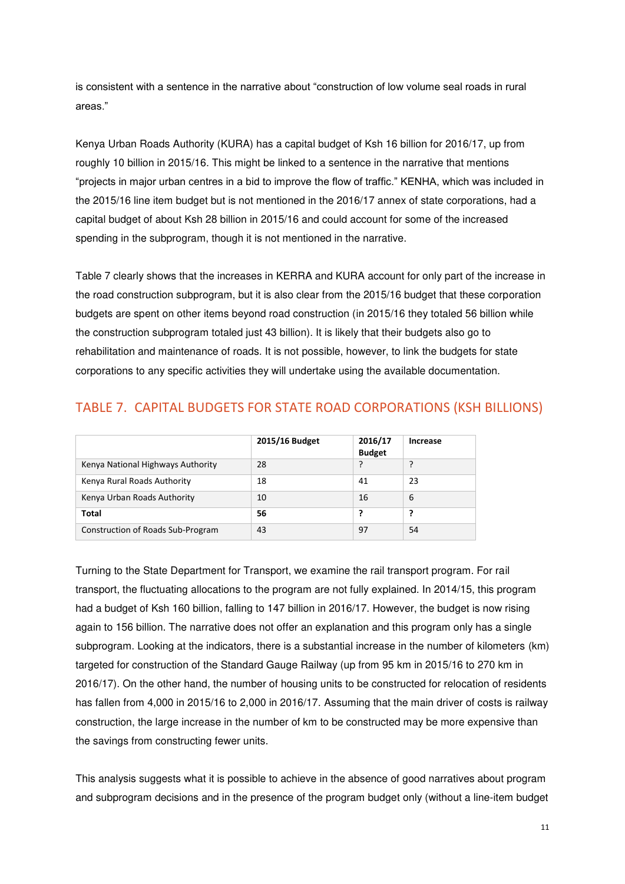is consistent with a sentence in the narrative about "construction of low volume seal roads in rural areas."

Kenya Urban Roads Authority (KURA) has a capital budget of Ksh 16 billion for 2016/17, up from roughly 10 billion in 2015/16. This might be linked to a sentence in the narrative that mentions "projects in major urban centres in a bid to improve the flow of traffic." KENHA, which was included in the 2015/16 line item budget but is not mentioned in the 2016/17 annex of state corporations, had a capital budget of about Ksh 28 billion in 2015/16 and could account for some of the increased spending in the subprogram, though it is not mentioned in the narrative.

Table 7 clearly shows that the increases in KERRA and KURA account for only part of the increase in the road construction subprogram, but it is also clear from the 2015/16 budget that these corporation budgets are spent on other items beyond road construction (in 2015/16 they totaled 56 billion while the construction subprogram totaled just 43 billion). It is likely that their budgets also go to rehabilitation and maintenance of roads. It is not possible, however, to link the budgets for state corporations to any specific activities they will undertake using the available documentation.

|                                   | 2015/16 Budget | 2016/17<br><b>Budget</b> | <b>Increase</b> |
|-----------------------------------|----------------|--------------------------|-----------------|
| Kenya National Highways Authority | 28             |                          | っ               |
| Kenya Rural Roads Authority       | 18             | 41                       | 23              |
| Kenya Urban Roads Authority       | 10             | 16                       | 6               |
| <b>Total</b>                      | 56             |                          |                 |
| Construction of Roads Sub-Program | 43             | 97                       | 54              |

#### TABLE 7. CAPITAL BUDGETS FOR STATE ROAD CORPORATIONS (KSH BILLIONS)

Turning to the State Department for Transport, we examine the rail transport program. For rail transport, the fluctuating allocations to the program are not fully explained. In 2014/15, this program had a budget of Ksh 160 billion, falling to 147 billion in 2016/17. However, the budget is now rising again to 156 billion. The narrative does not offer an explanation and this program only has a single subprogram. Looking at the indicators, there is a substantial increase in the number of kilometers (km) targeted for construction of the Standard Gauge Railway (up from 95 km in 2015/16 to 270 km in 2016/17). On the other hand, the number of housing units to be constructed for relocation of residents has fallen from 4,000 in 2015/16 to 2,000 in 2016/17. Assuming that the main driver of costs is railway construction, the large increase in the number of km to be constructed may be more expensive than the savings from constructing fewer units.

This analysis suggests what it is possible to achieve in the absence of good narratives about program and subprogram decisions and in the presence of the program budget only (without a line-item budget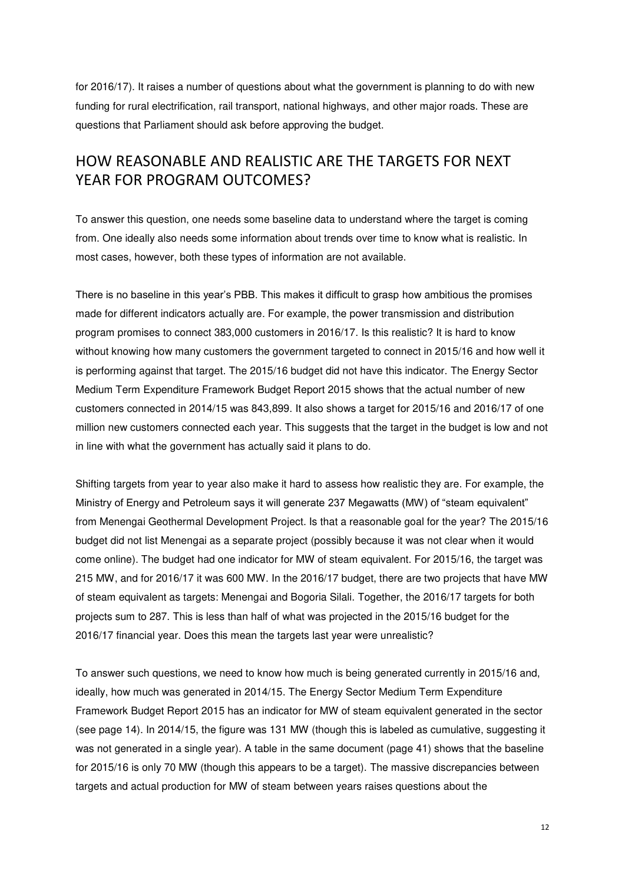for 2016/17). It raises a number of questions about what the government is planning to do with new funding for rural electrification, rail transport, national highways, and other major roads. These are questions that Parliament should ask before approving the budget.

# HOW REASONABLE AND REALISTIC ARE THE TARGETS FOR NEXT YEAR FOR PROGRAM OUTCOMES?

To answer this question, one needs some baseline data to understand where the target is coming from. One ideally also needs some information about trends over time to know what is realistic. In most cases, however, both these types of information are not available.

There is no baseline in this year's PBB. This makes it difficult to grasp how ambitious the promises made for different indicators actually are. For example, the power transmission and distribution program promises to connect 383,000 customers in 2016/17. Is this realistic? It is hard to know without knowing how many customers the government targeted to connect in 2015/16 and how well it is performing against that target. The 2015/16 budget did not have this indicator. The Energy Sector Medium Term Expenditure Framework Budget Report 2015 shows that the actual number of new customers connected in 2014/15 was 843,899. It also shows a target for 2015/16 and 2016/17 of one million new customers connected each year. This suggests that the target in the budget is low and not in line with what the government has actually said it plans to do.

Shifting targets from year to year also make it hard to assess how realistic they are. For example, the Ministry of Energy and Petroleum says it will generate 237 Megawatts (MW) of "steam equivalent" from Menengai Geothermal Development Project. Is that a reasonable goal for the year? The 2015/16 budget did not list Menengai as a separate project (possibly because it was not clear when it would come online). The budget had one indicator for MW of steam equivalent. For 2015/16, the target was 215 MW, and for 2016/17 it was 600 MW. In the 2016/17 budget, there are two projects that have MW of steam equivalent as targets: Menengai and Bogoria Silali. Together, the 2016/17 targets for both projects sum to 287. This is less than half of what was projected in the 2015/16 budget for the 2016/17 financial year. Does this mean the targets last year were unrealistic?

To answer such questions, we need to know how much is being generated currently in 2015/16 and, ideally, how much was generated in 2014/15. The Energy Sector Medium Term Expenditure Framework Budget Report 2015 has an indicator for MW of steam equivalent generated in the sector (see page 14). In 2014/15, the figure was 131 MW (though this is labeled as cumulative, suggesting it was not generated in a single year). A table in the same document (page 41) shows that the baseline for 2015/16 is only 70 MW (though this appears to be a target). The massive discrepancies between targets and actual production for MW of steam between years raises questions about the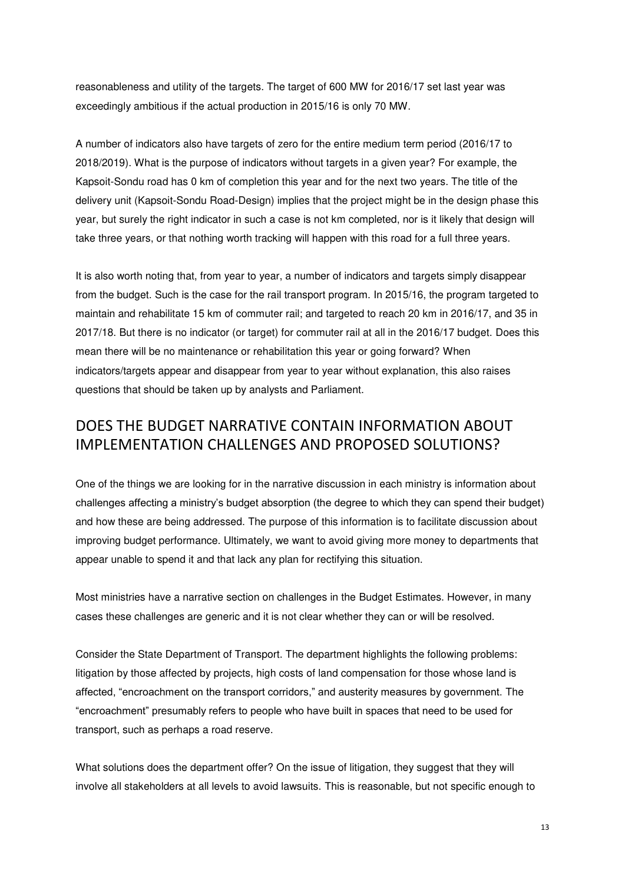reasonableness and utility of the targets. The target of 600 MW for 2016/17 set last year was exceedingly ambitious if the actual production in 2015/16 is only 70 MW.

A number of indicators also have targets of zero for the entire medium term period (2016/17 to 2018/2019). What is the purpose of indicators without targets in a given year? For example, the Kapsoit-Sondu road has 0 km of completion this year and for the next two years. The title of the delivery unit (Kapsoit-Sondu Road-Design) implies that the project might be in the design phase this year, but surely the right indicator in such a case is not km completed, nor is it likely that design will take three years, or that nothing worth tracking will happen with this road for a full three years.

It is also worth noting that, from year to year, a number of indicators and targets simply disappear from the budget. Such is the case for the rail transport program. In 2015/16, the program targeted to maintain and rehabilitate 15 km of commuter rail; and targeted to reach 20 km in 2016/17, and 35 in 2017/18. But there is no indicator (or target) for commuter rail at all in the 2016/17 budget. Does this mean there will be no maintenance or rehabilitation this year or going forward? When indicators/targets appear and disappear from year to year without explanation, this also raises questions that should be taken up by analysts and Parliament.

#### DOES THE BUDGET NARRATIVE CONTAIN INFORMATION ABOUT IMPLEMENTATION CHALLENGES AND PROPOSED SOLUTIONS?

One of the things we are looking for in the narrative discussion in each ministry is information about challenges affecting a ministry's budget absorption (the degree to which they can spend their budget) and how these are being addressed. The purpose of this information is to facilitate discussion about improving budget performance. Ultimately, we want to avoid giving more money to departments that appear unable to spend it and that lack any plan for rectifying this situation.

Most ministries have a narrative section on challenges in the Budget Estimates. However, in many cases these challenges are generic and it is not clear whether they can or will be resolved.

Consider the State Department of Transport. The department highlights the following problems: litigation by those affected by projects, high costs of land compensation for those whose land is affected, "encroachment on the transport corridors," and austerity measures by government. The "encroachment" presumably refers to people who have built in spaces that need to be used for transport, such as perhaps a road reserve.

What solutions does the department offer? On the issue of litigation, they suggest that they will involve all stakeholders at all levels to avoid lawsuits. This is reasonable, but not specific enough to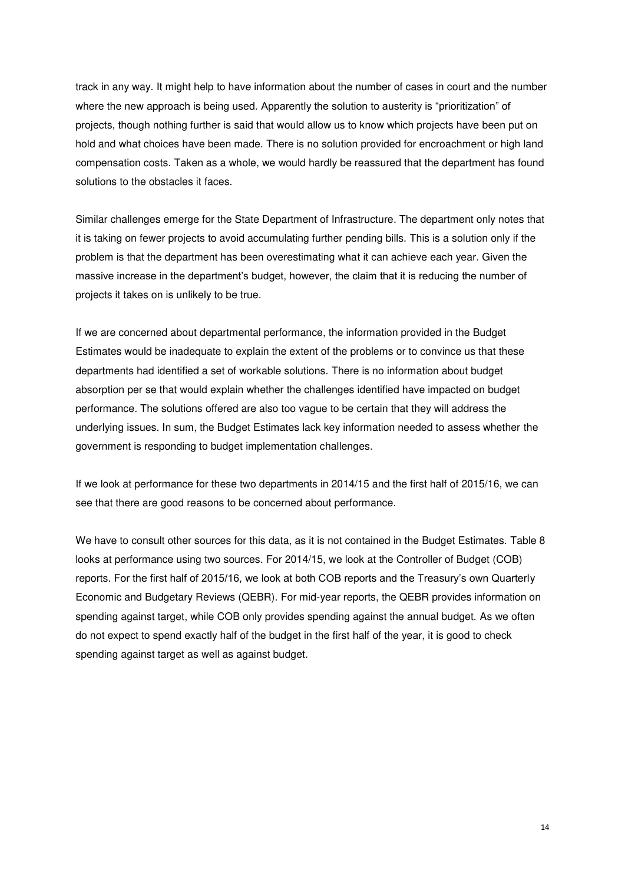track in any way. It might help to have information about the number of cases in court and the number where the new approach is being used. Apparently the solution to austerity is "prioritization" of projects, though nothing further is said that would allow us to know which projects have been put on hold and what choices have been made. There is no solution provided for encroachment or high land compensation costs. Taken as a whole, we would hardly be reassured that the department has found solutions to the obstacles it faces.

Similar challenges emerge for the State Department of Infrastructure. The department only notes that it is taking on fewer projects to avoid accumulating further pending bills. This is a solution only if the problem is that the department has been overestimating what it can achieve each year. Given the massive increase in the department's budget, however, the claim that it is reducing the number of projects it takes on is unlikely to be true.

If we are concerned about departmental performance, the information provided in the Budget Estimates would be inadequate to explain the extent of the problems or to convince us that these departments had identified a set of workable solutions. There is no information about budget absorption per se that would explain whether the challenges identified have impacted on budget performance. The solutions offered are also too vague to be certain that they will address the underlying issues. In sum, the Budget Estimates lack key information needed to assess whether the government is responding to budget implementation challenges.

If we look at performance for these two departments in 2014/15 and the first half of 2015/16, we can see that there are good reasons to be concerned about performance.

We have to consult other sources for this data, as it is not contained in the Budget Estimates. Table 8 looks at performance using two sources. For 2014/15, we look at the Controller of Budget (COB) reports. For the first half of 2015/16, we look at both COB reports and the Treasury's own Quarterly Economic and Budgetary Reviews (QEBR). For mid-year reports, the QEBR provides information on spending against target, while COB only provides spending against the annual budget. As we often do not expect to spend exactly half of the budget in the first half of the year, it is good to check spending against target as well as against budget.